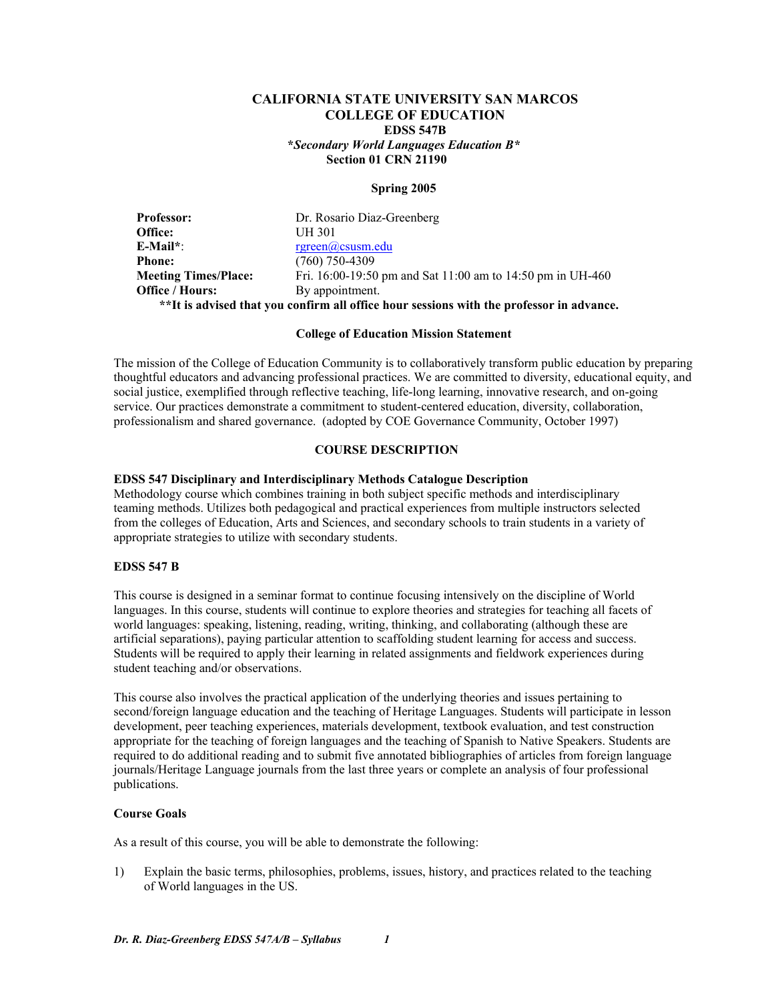## **CALIFORNIA STATE UNIVERSITY SAN MARCOS COLLEGE OF EDUCATION EDSS 547B \****Secondary World Languages Education B\**  **Section 01 CRN 21190**

## **Spring 2005**

| <b>Professor:</b>                                                                        | Dr. Rosario Diaz-Greenberg                                 |  |
|------------------------------------------------------------------------------------------|------------------------------------------------------------|--|
| Office:                                                                                  | UH 301                                                     |  |
| $E\text{-Mail}^*$ :                                                                      | $r$ green@csusm.edu                                        |  |
| <b>Phone:</b>                                                                            | $(760)$ 750-4309                                           |  |
| <b>Meeting Times/Place:</b>                                                              | Fri. 16:00-19:50 pm and Sat 11:00 am to 14:50 pm in UH-460 |  |
| <b>Office / Hours:</b>                                                                   | By appointment.                                            |  |
| **It is advised that you confirm all office hour sessions with the professor in advance. |                                                            |  |

#### **College of Education Mission Statement**

The mission of the College of Education Community is to collaboratively transform public education by preparing thoughtful educators and advancing professional practices. We are committed to diversity, educational equity, and social justice, exemplified through reflective teaching, life-long learning, innovative research, and on-going service. Our practices demonstrate a commitment to student-centered education, diversity, collaboration, professionalism and shared governance. (adopted by COE Governance Community, October 1997)

## **COURSE DESCRIPTION**

#### **EDSS 547 Disciplinary and Interdisciplinary Methods Catalogue Description**

Methodology course which combines training in both subject specific methods and interdisciplinary teaming methods. Utilizes both pedagogical and practical experiences from multiple instructors selected from the colleges of Education, Arts and Sciences, and secondary schools to train students in a variety of appropriate strategies to utilize with secondary students.

#### **EDSS 547 B**

This course is designed in a seminar format to continue focusing intensively on the discipline of World languages. In this course, students will continue to explore theories and strategies for teaching all facets of world languages: speaking, listening, reading, writing, thinking, and collaborating (although these are artificial separations), paying particular attention to scaffolding student learning for access and success. Students will be required to apply their learning in related assignments and fieldwork experiences during student teaching and/or observations.

This course also involves the practical application of the underlying theories and issues pertaining to second/foreign language education and the teaching of Heritage Languages. Students will participate in lesson development, peer teaching experiences, materials development, textbook evaluation, and test construction appropriate for the teaching of foreign languages and the teaching of Spanish to Native Speakers. Students are required to do additional reading and to submit five annotated bibliographies of articles from foreign language journals/Heritage Language journals from the last three years or complete an analysis of four professional publications.

## **Course Goals**

As a result of this course, you will be able to demonstrate the following:

1) Explain the basic terms, philosophies, problems, issues, history, and practices related to the teaching of World languages in the US.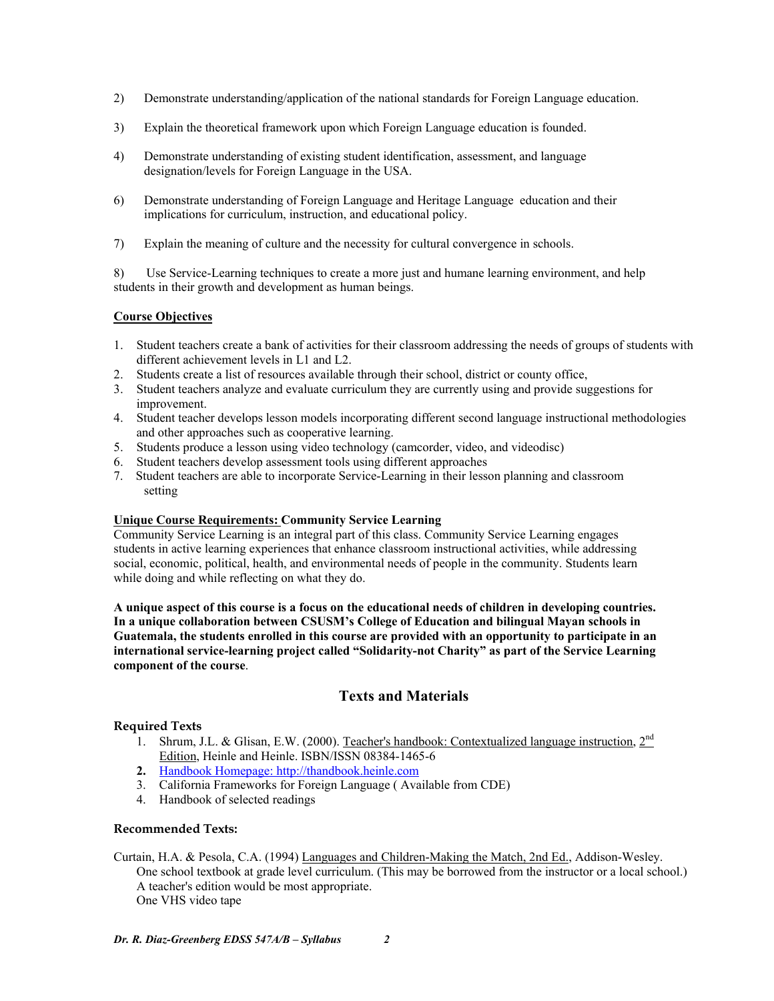- 2) Demonstrate understanding/application of the national standards for Foreign Language education.
- 3) Explain the theoretical framework upon which Foreign Language education is founded.
- 4) Demonstrate understanding of existing student identification, assessment, and language designation/levels for Foreign Language in the USA.
- 6) Demonstrate understanding of Foreign Language and Heritage Language education and their implications for curriculum, instruction, and educational policy.
- 7) Explain the meaning of culture and the necessity for cultural convergence in schools.

8) Use Service-Learning techniques to create a more just and humane learning environment, and help students in their growth and development as human beings.

## **Course Objectives**

- 1. Student teachers create a bank of activities for their classroom addressing the needs of groups of students with different achievement levels in L1 and L2.
- 2. Students create a list of resources available through their school, district or county office,
- 3. Student teachers analyze and evaluate curriculum they are currently using and provide suggestions for improvement.
- 4. Student teacher develops lesson models incorporating different second language instructional methodologies and other approaches such as cooperative learning.
- 5. Students produce a lesson using video technology (camcorder, video, and videodisc)
- 6. Student teachers develop assessment tools using different approaches
- 7. Student teachers are able to incorporate Service-Learning in their lesson planning and classroom setting

## **Unique Course Requirements: Community Service Learning**

Community Service Learning is an integral part of this class. Community Service Learning engages students in active learning experiences that enhance classroom instructional activities, while addressing social, economic, political, health, and environmental needs of people in the community. Students learn while doing and while reflecting on what they do.

**A unique aspect of this course is a focus on the educational needs of children in developing countries. In a unique collaboration between CSUSM's College of Education and bilingual Mayan schools in Guatemala, the students enrolled in this course are provided with an opportunity to participate in an international service-learning project called "Solidarity-not Charity" as part of the Service Learning component of the course**.

## **Texts and Materials**

## **Required Texts**

- 1. Shrum, J.L. & Glisan, E.W. (2000). Teacher's handbook: Contextualized language instruction,  $2^{nd}$ Edition, Heinle and Heinle. ISBN/ISSN 08384-1465-6
- **2.** Handbook Homepage: http://thandbook.heinle.com
- 3. California Frameworks for Foreign Language ( Available from CDE)
- 4. Handbook of selected readings

## **Recommended Texts:**

Curtain, H.A. & Pesola, C.A. (1994) Languages and Children-Making the Match, 2nd Ed., Addison-Wesley. One school textbook at grade level curriculum. (This may be borrowed from the instructor or a local school.) A teacher's edition would be most appropriate. One VHS video tape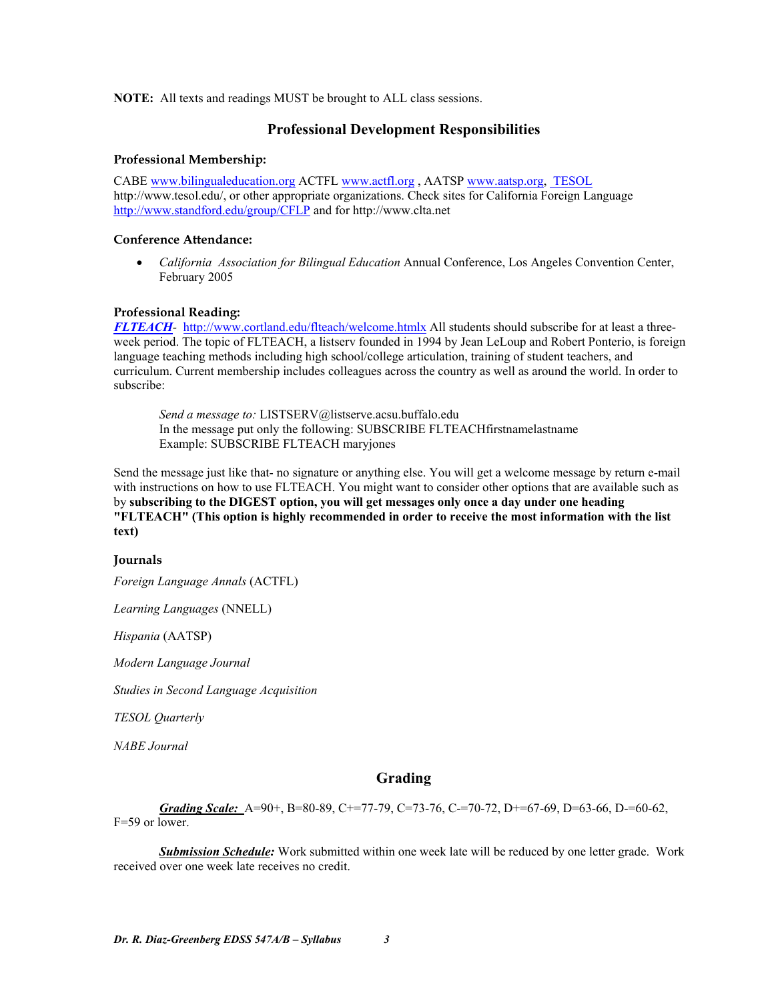**NOTE:** All texts and readings MUST be brought to ALL class sessions.

## **Professional Development Responsibilities**

## **Professional Membership:**

CABE www.bilingualeducation.org ACTFL www.actfl.org , AATSP www.aatsp.org, TESOL http://www.tesol.edu/, or other appropriate organizations. Check sites for California Foreign Language http://www.standford.edu/group/CFLP and for http://www.clta.net

## **Conference Attendance:**

• *California Association for Bilingual Education* Annual Conference, Los Angeles Convention Center, February 2005

## **Professional Reading:**

*FLTEACH-* http://www.cortland.edu/flteach/welcome.htmlx All students should subscribe for at least a threeweek period. The topic of FLTEACH, a listserv founded in 1994 by Jean LeLoup and Robert Ponterio, is foreign language teaching methods including high school/college articulation, training of student teachers, and curriculum. Current membership includes colleagues across the country as well as around the world. In order to subscribe:

*Send a message to:* LISTSERV@listserve.acsu.buffalo.edu In the message put only the following: SUBSCRIBE FLTEACHfirstnamelastname Example: SUBSCRIBE FLTEACH maryjones

Send the message just like that- no signature or anything else. You will get a welcome message by return e-mail with instructions on how to use FLTEACH. You might want to consider other options that are available such as by **subscribing to the DIGEST option, you will get messages only once a day under one heading "FLTEACH" (This option is highly recommended in order to receive the most information with the list text)**

## **Journals**

*Foreign Language Annals* (ACTFL)

*Learning Languages* (NNELL)

*Hispania* (AATSP)

*Modern Language Journal*

*Studies in Second Language Acquisition*

*TESOL Quarterly*

*NABE Journal* 

## **Grading**

*Grading Scale:* A=90+, B=80-89, C+=77-79, C=73-76, C-=70-72, D+=67-69, D=63-66, D-=60-62, F=59 or lower.

 *Submission Schedule:* Work submitted within one week late will be reduced by one letter grade. Work received over one week late receives no credit.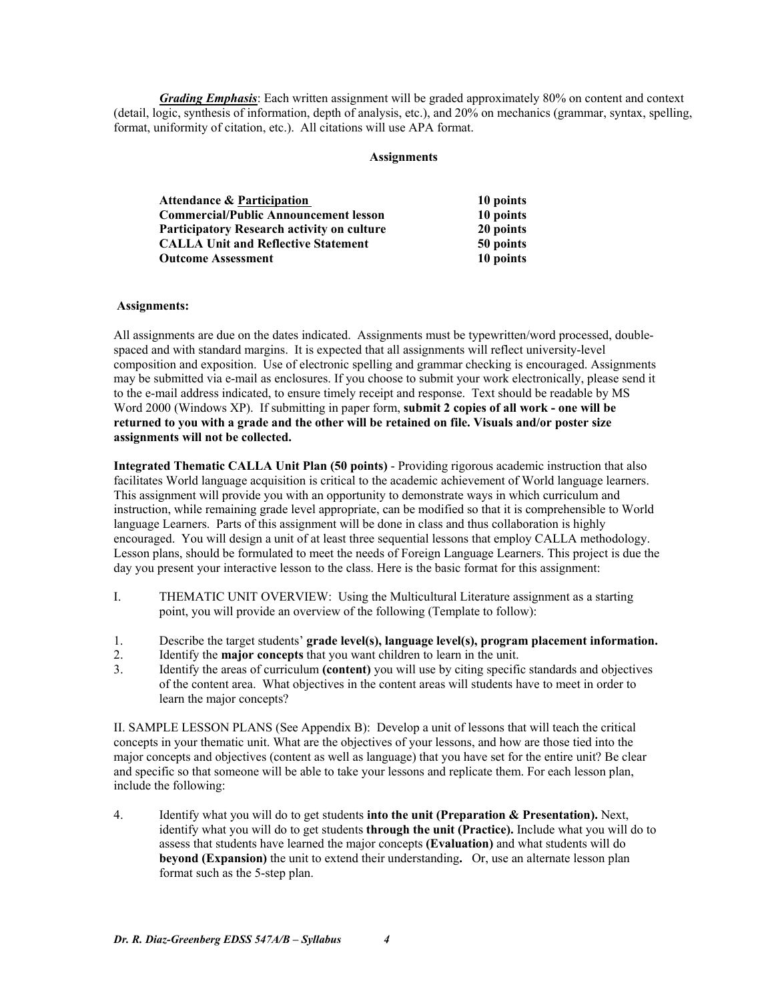*Grading Emphasis*: Each written assignment will be graded approximately 80% on content and context (detail, logic, synthesis of information, depth of analysis, etc.), and 20% on mechanics (grammar, syntax, spelling, format, uniformity of citation, etc.). All citations will use APA format.

## **Assignments**

| <b>Attendance &amp; Participation</b>             | 10 points |
|---------------------------------------------------|-----------|
| <b>Commercial/Public Announcement lesson</b>      | 10 points |
| <b>Participatory Research activity on culture</b> | 20 points |
| <b>CALLA Unit and Reflective Statement</b>        | 50 points |
| <b>Outcome Assessment</b>                         | 10 points |

## **Assignments:**

All assignments are due on the dates indicated. Assignments must be typewritten/word processed, doublespaced and with standard margins. It is expected that all assignments will reflect university-level composition and exposition. Use of electronic spelling and grammar checking is encouraged. Assignments may be submitted via e-mail as enclosures. If you choose to submit your work electronically, please send it to the e-mail address indicated, to ensure timely receipt and response. Text should be readable by MS Word 2000 (Windows XP). If submitting in paper form, **submit 2 copies of all work - one will be returned to you with a grade and the other will be retained on file. Visuals and/or poster size assignments will not be collected.** 

**Integrated Thematic CALLA Unit Plan (50 points)** - Providing rigorous academic instruction that also facilitates World language acquisition is critical to the academic achievement of World language learners. This assignment will provide you with an opportunity to demonstrate ways in which curriculum and instruction, while remaining grade level appropriate, can be modified so that it is comprehensible to World language Learners. Parts of this assignment will be done in class and thus collaboration is highly encouraged. You will design a unit of at least three sequential lessons that employ CALLA methodology. Lesson plans, should be formulated to meet the needs of Foreign Language Learners. This project is due the day you present your interactive lesson to the class. Here is the basic format for this assignment:

- I. THEMATIC UNIT OVERVIEW: Using the Multicultural Literature assignment as a starting point, you will provide an overview of the following (Template to follow):
- 1. Describe the target students' **grade level(s), language level(s), program placement information.**
- 2. Identify the **major concepts** that you want children to learn in the unit.
- 3. Identify the areas of curriculum **(content)** you will use by citing specific standards and objectives of the content area. What objectives in the content areas will students have to meet in order to learn the major concepts?

II. SAMPLE LESSON PLANS (See Appendix B): Develop a unit of lessons that will teach the critical concepts in your thematic unit. What are the objectives of your lessons, and how are those tied into the major concepts and objectives (content as well as language) that you have set for the entire unit? Be clear and specific so that someone will be able to take your lessons and replicate them. For each lesson plan, include the following:

4. Identify what you will do to get students **into the unit (Preparation & Presentation).** Next, identify what you will do to get students **through the unit (Practice).** Include what you will do to assess that students have learned the major concepts **(Evaluation)** and what students will do **beyond (Expansion)** the unit to extend their understanding**.** Or, use an alternate lesson plan format such as the 5-step plan.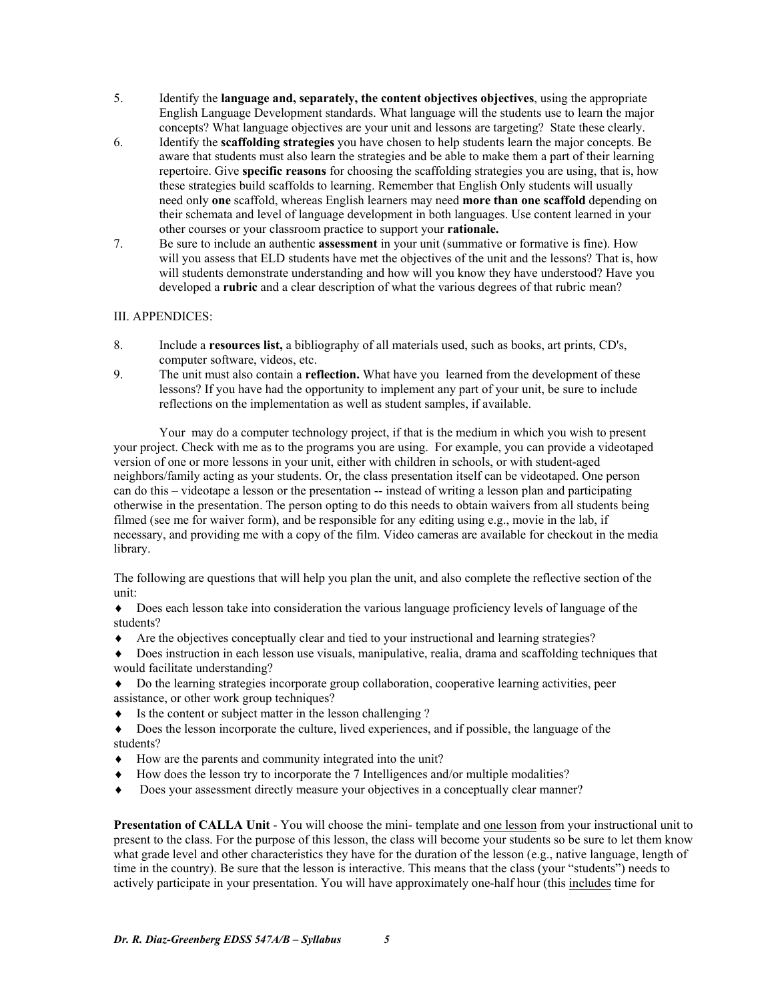- 5. Identify the **language and, separately, the content objectives objectives**, using the appropriate English Language Development standards. What language will the students use to learn the major concepts? What language objectives are your unit and lessons are targeting? State these clearly.
- 6. Identify the **scaffolding strategies** you have chosen to help students learn the major concepts. Be aware that students must also learn the strategies and be able to make them a part of their learning repertoire. Give **specific reasons** for choosing the scaffolding strategies you are using, that is, how these strategies build scaffolds to learning. Remember that English Only students will usually need only **one** scaffold, whereas English learners may need **more than one scaffold** depending on their schemata and level of language development in both languages. Use content learned in your other courses or your classroom practice to support your **rationale.**
- 7. Be sure to include an authentic **assessment** in your unit (summative or formative is fine). How will you assess that ELD students have met the objectives of the unit and the lessons? That is, how will students demonstrate understanding and how will you know they have understood? Have you developed a **rubric** and a clear description of what the various degrees of that rubric mean?

## III. APPENDICES:

- 8. Include a **resources list,** a bibliography of all materials used, such as books, art prints, CD's, computer software, videos, etc.
- 9. The unit must also contain a **reflection.** What have you learned from the development of these lessons? If you have had the opportunity to implement any part of your unit, be sure to include reflections on the implementation as well as student samples, if available.

 Your may do a computer technology project, if that is the medium in which you wish to present your project. Check with me as to the programs you are using. For example, you can provide a videotaped version of one or more lessons in your unit, either with children in schools, or with student-aged neighbors/family acting as your students. Or, the class presentation itself can be videotaped. One person can do this – videotape a lesson or the presentation -- instead of writing a lesson plan and participating otherwise in the presentation. The person opting to do this needs to obtain waivers from all students being filmed (see me for waiver form), and be responsible for any editing using e.g., movie in the lab, if necessary, and providing me with a copy of the film. Video cameras are available for checkout in the media library.

The following are questions that will help you plan the unit, and also complete the reflective section of the unit:

♦ Does each lesson take into consideration the various language proficiency levels of language of the students?

♦ Are the objectives conceptually clear and tied to your instructional and learning strategies?

♦ Does instruction in each lesson use visuals, manipulative, realia, drama and scaffolding techniques that would facilitate understanding?

♦ Do the learning strategies incorporate group collaboration, cooperative learning activities, peer assistance, or other work group techniques?

- ♦ Is the content or subject matter in the lesson challenging ?
- ♦ Does the lesson incorporate the culture, lived experiences, and if possible, the language of the students?
- ♦ How are the parents and community integrated into the unit?
- ♦ How does the lesson try to incorporate the 7 Intelligences and/or multiple modalities?
- ♦ Does your assessment directly measure your objectives in a conceptually clear manner?

**Presentation of CALLA Unit** - You will choose the mini- template and one lesson from your instructional unit to present to the class. For the purpose of this lesson, the class will become your students so be sure to let them know what grade level and other characteristics they have for the duration of the lesson (e.g., native language, length of time in the country). Be sure that the lesson is interactive. This means that the class (your "students") needs to actively participate in your presentation. You will have approximately one-half hour (this includes time for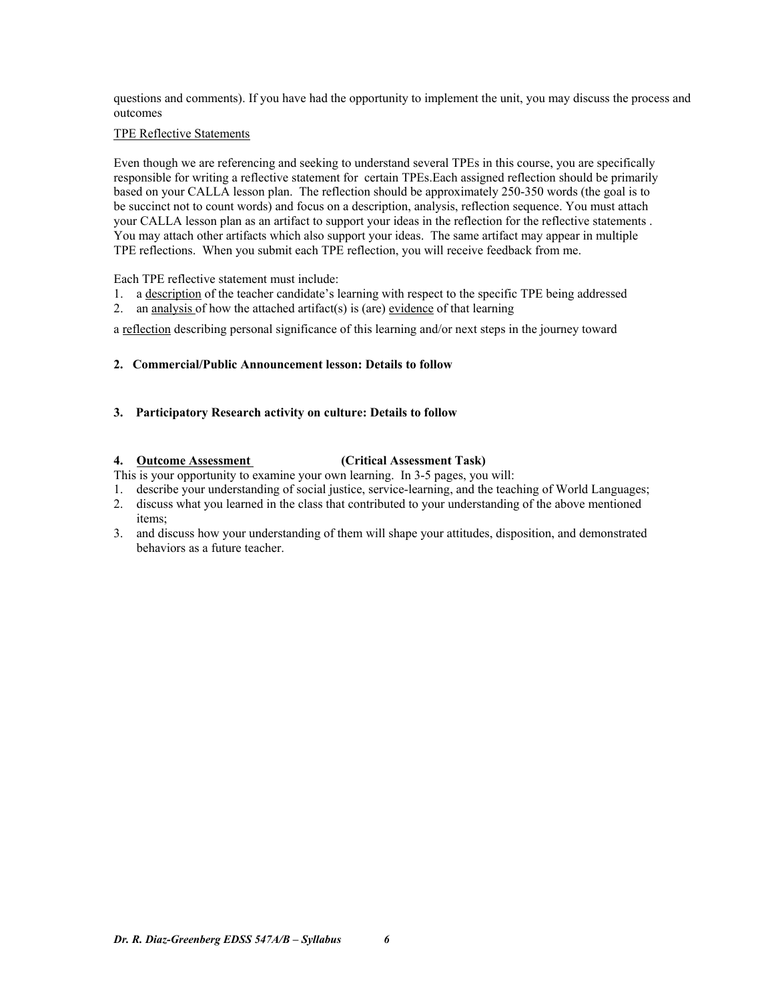questions and comments). If you have had the opportunity to implement the unit, you may discuss the process and outcomes

## TPE Reflective Statements

Even though we are referencing and seeking to understand several TPEs in this course, you are specifically responsible for writing a reflective statement for certain TPEs.Each assigned reflection should be primarily based on your CALLA lesson plan. The reflection should be approximately 250-350 words (the goal is to be succinct not to count words) and focus on a description, analysis, reflection sequence. You must attach your CALLA lesson plan as an artifact to support your ideas in the reflection for the reflective statements . You may attach other artifacts which also support your ideas. The same artifact may appear in multiple TPE reflections. When you submit each TPE reflection, you will receive feedback from me.

Each TPE reflective statement must include:

- 1. a description of the teacher candidate's learning with respect to the specific TPE being addressed
- 2. an analysis of how the attached artifact(s) is (are) evidence of that learning

a reflection describing personal significance of this learning and/or next steps in the journey toward

## **2. Commercial/Public Announcement lesson: Details to follow**

## **3. Participatory Research activity on culture: Details to follow**

## **4. Outcome Assessment (Critical Assessment Task)**

- This is your opportunity to examine your own learning. In 3-5 pages, you will:
- 1. describe your understanding of social justice, service-learning, and the teaching of World Languages;
- 2. discuss what you learned in the class that contributed to your understanding of the above mentioned items;
- 3. and discuss how your understanding of them will shape your attitudes, disposition, and demonstrated behaviors as a future teacher.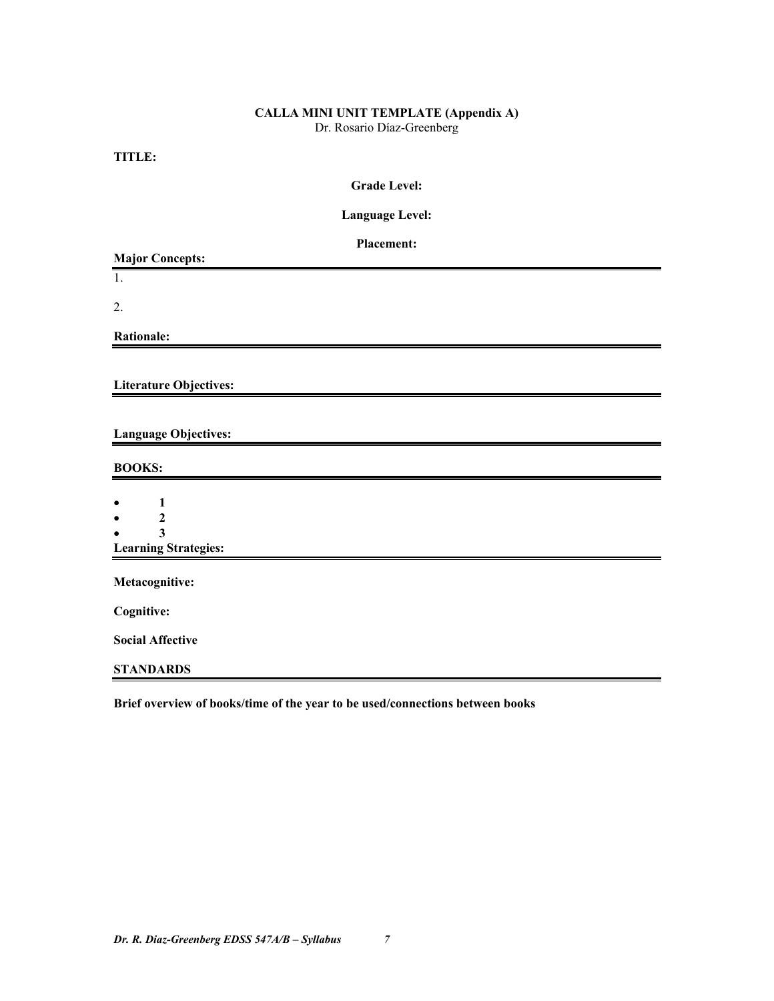# **CALLA MINI UNIT TEMPLATE (Appendix A)**

Dr. Rosario Díaz-Greenberg

**TITLE:** 

**Language Level:** 

| Placement:<br><b>Major Concepts:</b>                   |
|--------------------------------------------------------|
| 1.                                                     |
| 2.                                                     |
| <b>Rationale:</b>                                      |
|                                                        |
| <b>Literature Objectives:</b>                          |
|                                                        |
| <b>Language Objectives:</b>                            |
| <b>BOOKS:</b>                                          |
|                                                        |
| $\mathbf{1}$<br>$\overline{2}$                         |
| $\overline{\mathbf{3}}$<br><b>Learning Strategies:</b> |
|                                                        |
| Metacognitive:                                         |
| Cognitive:                                             |
| <b>Social Affective</b>                                |
| <b>STANDARDS</b>                                       |

**Brief overview of books/time of the year to be used/connections between books**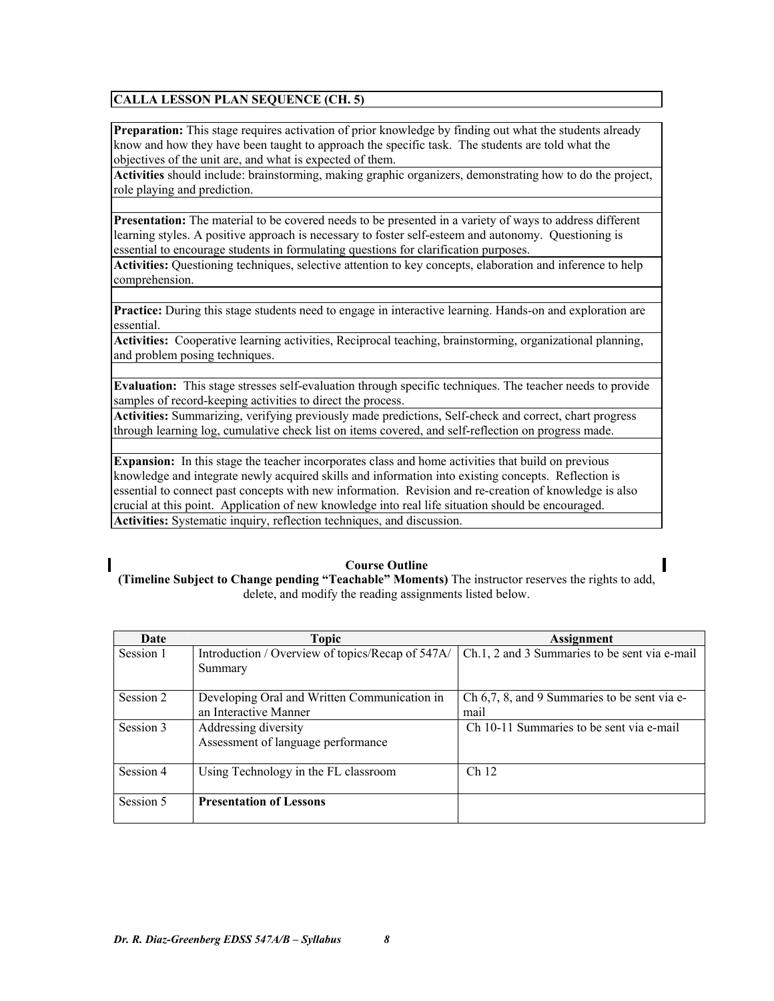## **CALLA LESSON PLAN SEQUENCE (CH. 5)**

**Preparation:** This stage requires activation of prior knowledge by finding out what the students already know and how they have been taught to approach the specific task. The students are told what the objectives of the unit are, and what is expected of them.

**Activities** should include: brainstorming, making graphic organizers, demonstrating how to do the project, role playing and prediction.

**Presentation:** The material to be covered needs to be presented in a variety of ways to address different learning styles. A positive approach is necessary to foster self-esteem and autonomy. Questioning is essential to encourage students in formulating questions for clarification purposes.

**Activities:** Questioning techniques, selective attention to key concepts, elaboration and inference to help comprehension.

**Practice:** During this stage students need to engage in interactive learning. Hands-on and exploration are essential.

**Activities:** Cooperative learning activities, Reciprocal teaching, brainstorming, organizational planning, and problem posing techniques.

**Evaluation:** This stage stresses self-evaluation through specific techniques. The teacher needs to provide samples of record-keeping activities to direct the process.

**Activities:** Summarizing, verifying previously made predictions, Self-check and correct, chart progress through learning log, cumulative check list on items covered, and self-reflection on progress made.

**Expansion:** In this stage the teacher incorporates class and home activities that build on previous knowledge and integrate newly acquired skills and information into existing concepts. Reflection is essential to connect past concepts with new information. Revision and re-creation of knowledge is also crucial at this point. Application of new knowledge into real life situation should be encouraged. **Activities:** Systematic inquiry, reflection techniques, and discussion.

**Course Outline (Timeline Subject to Change pending "Teachable" Moments)** The instructor reserves the rights to add, delete, and modify the reading assignments listed below.

| Date      | Topic                                                                 | <b>Assignment</b>                                    |
|-----------|-----------------------------------------------------------------------|------------------------------------------------------|
| Session 1 | Introduction / Overview of topics/Recap of 547A/<br>Summary           | Ch.1, 2 and 3 Summaries to be sent via e-mail        |
| Session 2 | Developing Oral and Written Communication in<br>an Interactive Manner | Ch 6,7, 8, and 9 Summaries to be sent via e-<br>mail |
| Session 3 | Addressing diversity<br>Assessment of language performance            | Ch 10-11 Summaries to be sent via e-mail             |
| Session 4 | Using Technology in the FL classroom                                  | Ch <sub>12</sub>                                     |
| Session 5 | <b>Presentation of Lessons</b>                                        |                                                      |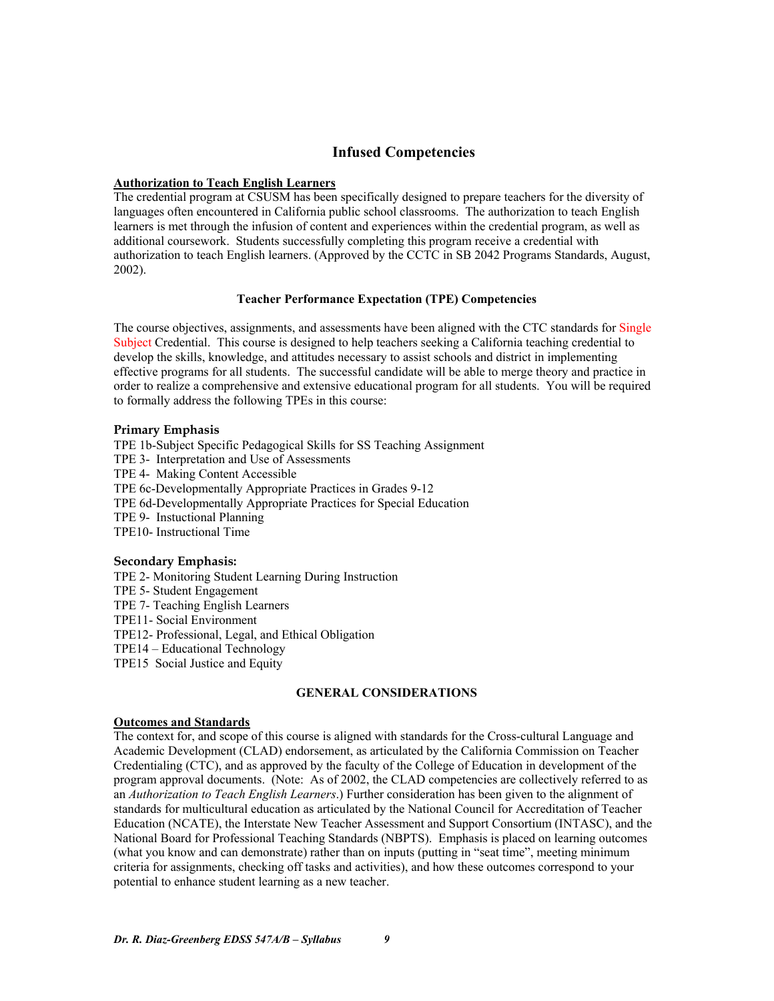## **Infused Competencies**

#### **Authorization to Teach English Learners**

The credential program at CSUSM has been specifically designed to prepare teachers for the diversity of languages often encountered in California public school classrooms. The authorization to teach English learners is met through the infusion of content and experiences within the credential program, as well as additional coursework. Students successfully completing this program receive a credential with authorization to teach English learners. (Approved by the CCTC in SB 2042 Programs Standards, August, 2002).

## **Teacher Performance Expectation (TPE) Competencies**

The course objectives, assignments, and assessments have been aligned with the CTC standards for Single Subject Credential. This course is designed to help teachers seeking a California teaching credential to develop the skills, knowledge, and attitudes necessary to assist schools and district in implementing effective programs for all students. The successful candidate will be able to merge theory and practice in order to realize a comprehensive and extensive educational program for all students. You will be required to formally address the following TPEs in this course:

#### **Primary Emphasis**

TPE 1b-Subject Specific Pedagogical Skills for SS Teaching Assignment TPE 3- Interpretation and Use of Assessments TPE 4- Making Content Accessible TPE 6c-Developmentally Appropriate Practices in Grades 9-12 TPE 6d-Developmentally Appropriate Practices for Special Education TPE 9- Instuctional Planning TPE10- Instructional Time

#### **Secondary Emphasis:**

TPE 2- Monitoring Student Learning During Instruction TPE 5- Student Engagement TPE 7- Teaching English Learners TPE11- Social Environment TPE12- Professional, Legal, and Ethical Obligation TPE14 – Educational Technology TPE15 Social Justice and Equity

## **GENERAL CONSIDERATIONS**

## **Outcomes and Standards**

The context for, and scope of this course is aligned with standards for the Cross-cultural Language and Academic Development (CLAD) endorsement, as articulated by the California Commission on Teacher Credentialing (CTC), and as approved by the faculty of the College of Education in development of the program approval documents. (Note: As of 2002, the CLAD competencies are collectively referred to as an *Authorization to Teach English Learners*.) Further consideration has been given to the alignment of standards for multicultural education as articulated by the National Council for Accreditation of Teacher Education (NCATE), the Interstate New Teacher Assessment and Support Consortium (INTASC), and the National Board for Professional Teaching Standards (NBPTS). Emphasis is placed on learning outcomes (what you know and can demonstrate) rather than on inputs (putting in "seat time", meeting minimum criteria for assignments, checking off tasks and activities), and how these outcomes correspond to your potential to enhance student learning as a new teacher.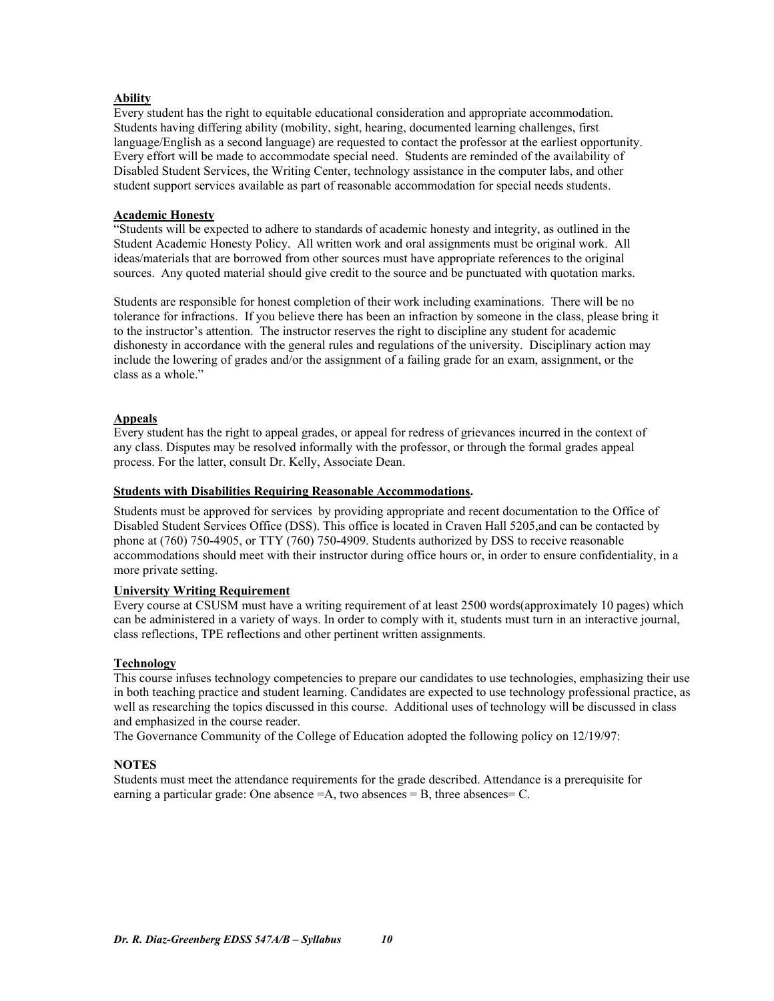## **Ability**

Every student has the right to equitable educational consideration and appropriate accommodation. Students having differing ability (mobility, sight, hearing, documented learning challenges, first language/English as a second language) are requested to contact the professor at the earliest opportunity. Every effort will be made to accommodate special need. Students are reminded of the availability of Disabled Student Services, the Writing Center, technology assistance in the computer labs, and other student support services available as part of reasonable accommodation for special needs students.

## **Academic Honesty**

"Students will be expected to adhere to standards of academic honesty and integrity, as outlined in the Student Academic Honesty Policy. All written work and oral assignments must be original work. All ideas/materials that are borrowed from other sources must have appropriate references to the original sources. Any quoted material should give credit to the source and be punctuated with quotation marks.

Students are responsible for honest completion of their work including examinations. There will be no tolerance for infractions. If you believe there has been an infraction by someone in the class, please bring it to the instructor's attention. The instructor reserves the right to discipline any student for academic dishonesty in accordance with the general rules and regulations of the university. Disciplinary action may include the lowering of grades and/or the assignment of a failing grade for an exam, assignment, or the class as a whole."

## **Appeals**

Every student has the right to appeal grades, or appeal for redress of grievances incurred in the context of any class. Disputes may be resolved informally with the professor, or through the formal grades appeal process. For the latter, consult Dr. Kelly, Associate Dean.

## **Students with Disabilities Requiring Reasonable Accommodations.**

Students must be approved for services by providing appropriate and recent documentation to the Office of Disabled Student Services Office (DSS). This office is located in Craven Hall 5205,and can be contacted by phone at (760) 750-4905, or TTY (760) 750-4909. Students authorized by DSS to receive reasonable accommodations should meet with their instructor during office hours or, in order to ensure confidentiality, in a more private setting.

## **University Writing Requirement**

Every course at CSUSM must have a writing requirement of at least 2500 words(approximately 10 pages) which can be administered in a variety of ways. In order to comply with it, students must turn in an interactive journal, class reflections, TPE reflections and other pertinent written assignments.

## **Technology**

This course infuses technology competencies to prepare our candidates to use technologies, emphasizing their use in both teaching practice and student learning. Candidates are expected to use technology professional practice, as well as researching the topics discussed in this course. Additional uses of technology will be discussed in class and emphasized in the course reader.

The Governance Community of the College of Education adopted the following policy on 12/19/97:

## **NOTES**

Students must meet the attendance requirements for the grade described. Attendance is a prerequisite for earning a particular grade: One absence  $=A$ , two absences  $= B$ , three absences  $= C$ .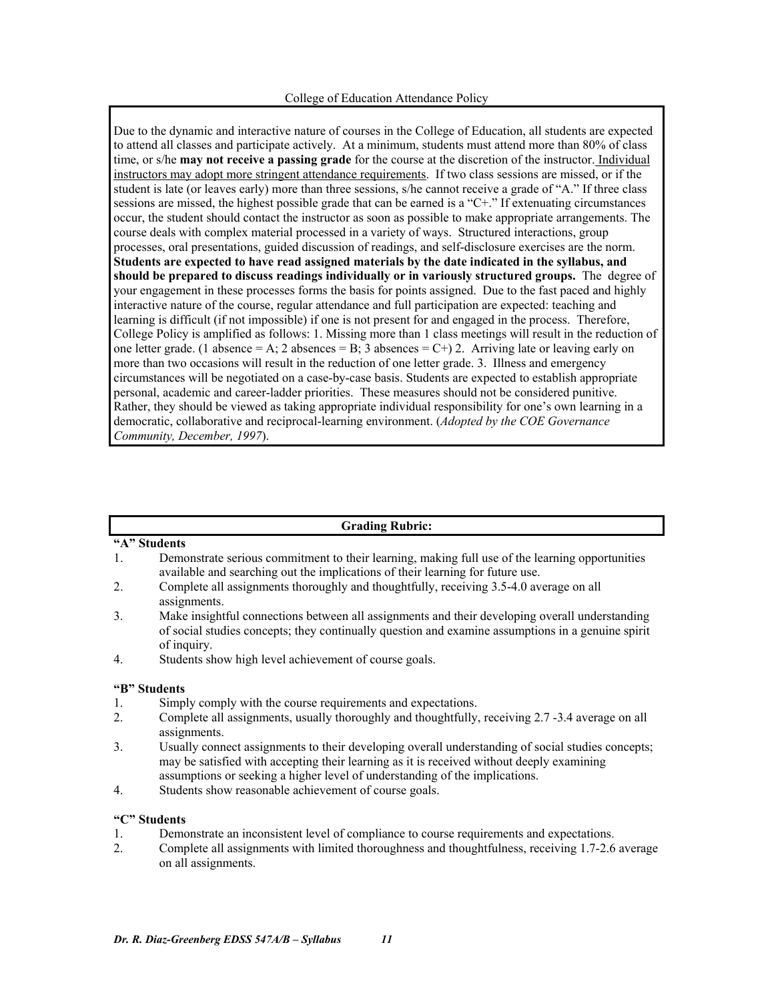Due to the dynamic and interactive nature of courses in the College of Education, all students are expected to attend all classes and participate actively. At a minimum, students must attend more than 80% of class time, or s/he **may not receive a passing grade** for the course at the discretion of the instructor. Individual instructors may adopt more stringent attendance requirements. If two class sessions are missed, or if the student is late (or leaves early) more than three sessions, s/he cannot receive a grade of "A." If three class sessions are missed, the highest possible grade that can be earned is a "C+." If extenuating circumstances occur, the student should contact the instructor as soon as possible to make appropriate arrangements. The course deals with complex material processed in a variety of ways. Structured interactions, group processes, oral presentations, guided discussion of readings, and self-disclosure exercises are the norm. **Students are expected to have read assigned materials by the date indicated in the syllabus, and should be prepared to discuss readings individually or in variously structured groups.** The degree of your engagement in these processes forms the basis for points assigned. Due to the fast paced and highly interactive nature of the course, regular attendance and full participation are expected: teaching and learning is difficult (if not impossible) if one is not present for and engaged in the process. Therefore, College Policy is amplified as follows: 1. Missing more than 1 class meetings will result in the reduction of one letter grade. (1 absence = A; 2 absences = B; 3 absences = C+) 2. Arriving late or leaving early on more than two occasions will result in the reduction of one letter grade. 3. Illness and emergency circumstances will be negotiated on a case-by-case basis. Students are expected to establish appropriate personal, academic and career-ladder priorities. These measures should not be considered punitive. Rather, they should be viewed as taking appropriate individual responsibility for one's own learning in a democratic, collaborative and reciprocal-learning environment. (*Adopted by the COE Governance Community, December, 1997*).

#### **Grading Rubric:**

## **"A" Students**

- 1. Demonstrate serious commitment to their learning, making full use of the learning opportunities available and searching out the implications of their learning for future use.
- 2. Complete all assignments thoroughly and thoughtfully, receiving 3.5-4.0 average on all assignments.
- 3. Make insightful connections between all assignments and their developing overall understanding of social studies concepts; they continually question and examine assumptions in a genuine spirit of inquiry.
- 4. Students show high level achievement of course goals.

#### **"B" Students**

- 1. Simply comply with the course requirements and expectations.
- 2. Complete all assignments, usually thoroughly and thoughtfully, receiving 2.7 -3.4 average on all assignments.
- 3. Usually connect assignments to their developing overall understanding of social studies concepts; may be satisfied with accepting their learning as it is received without deeply examining assumptions or seeking a higher level of understanding of the implications.
- 4. Students show reasonable achievement of course goals.

## **"C" Students**

- 1. Demonstrate an inconsistent level of compliance to course requirements and expectations.
- 2. Complete all assignments with limited thoroughness and thoughtfulness, receiving 1.7-2.6 average on all assignments.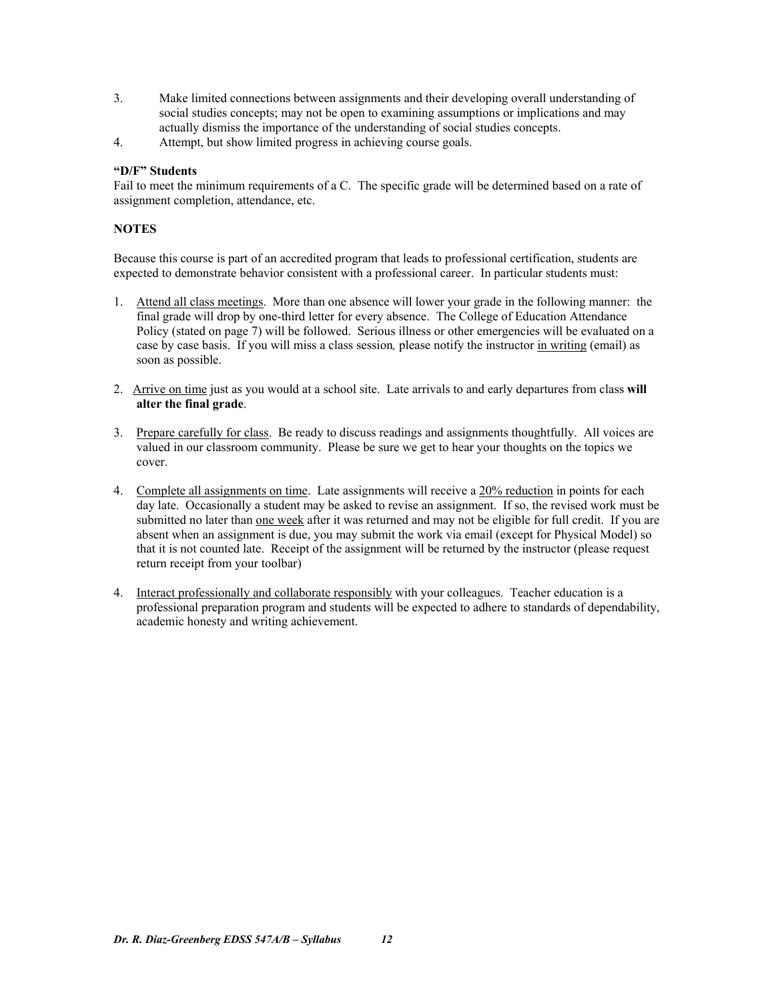- 3. Make limited connections between assignments and their developing overall understanding of social studies concepts; may not be open to examining assumptions or implications and may actually dismiss the importance of the understanding of social studies concepts.
- 4. Attempt, but show limited progress in achieving course goals.

## **"D/F" Students**

Fail to meet the minimum requirements of a C. The specific grade will be determined based on a rate of assignment completion, attendance, etc.

## **NOTES**

Because this course is part of an accredited program that leads to professional certification, students are expected to demonstrate behavior consistent with a professional career. In particular students must:

- 1. Attend all class meetings. More than one absence will lower your grade in the following manner: the final grade will drop by one-third letter for every absence. The College of Education Attendance Policy (stated on page 7) will be followed. Serious illness or other emergencies will be evaluated on a case by case basis. If you will miss a class session*,* please notify the instructor in writing (email) as soon as possible.
- 2. Arrive on time just as you would at a school site. Late arrivals to and early departures from class **will alter the final grade**.
- 3. Prepare carefully for class. Be ready to discuss readings and assignments thoughtfully. All voices are valued in our classroom community. Please be sure we get to hear your thoughts on the topics we cover.
- 4. Complete all assignments on time. Late assignments will receive a 20% reduction in points for each day late. Occasionally a student may be asked to revise an assignment. If so, the revised work must be submitted no later than one week after it was returned and may not be eligible for full credit. If you are absent when an assignment is due, you may submit the work via email (except for Physical Model) so that it is not counted late. Receipt of the assignment will be returned by the instructor (please request return receipt from your toolbar)
- 4. Interact professionally and collaborate responsibly with your colleagues. Teacher education is a professional preparation program and students will be expected to adhere to standards of dependability, academic honesty and writing achievement.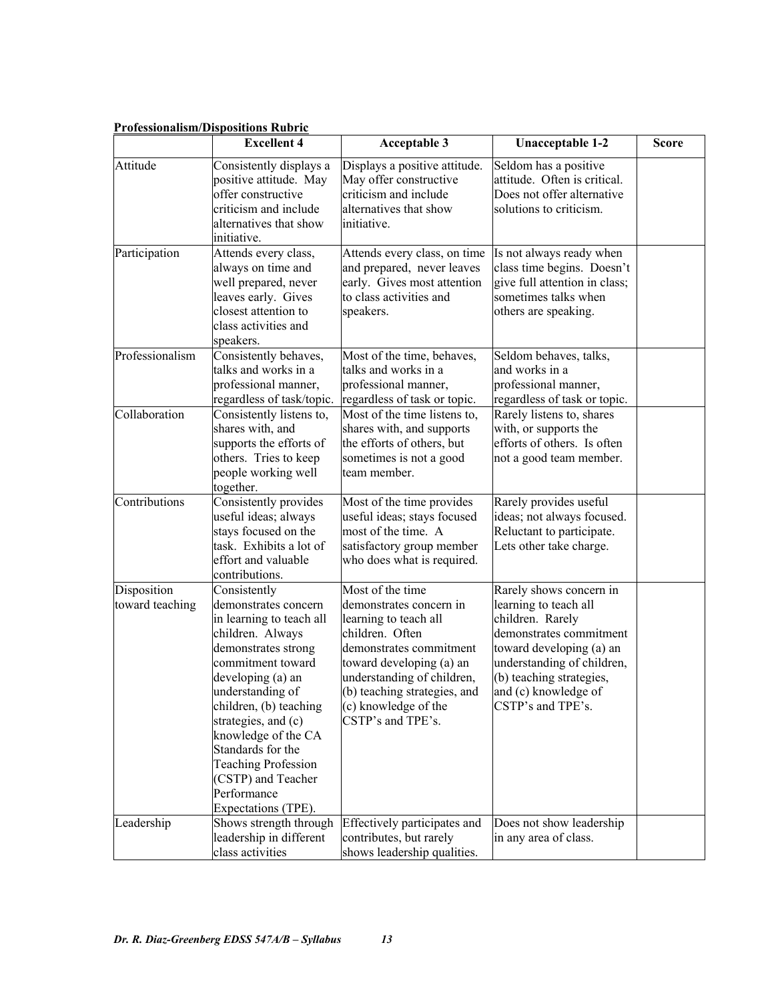|                                | <u>i foiessiohansill/Dispositions Kudfit</u><br><b>Excellent 4</b>                                                                                                                                                                                                                                                                                               | <b>Acceptable 3</b>                                                                                                                                                                                                                                       | <b>Unacceptable 1-2</b>                                                                                                                                                                                                            | <b>Score</b> |
|--------------------------------|------------------------------------------------------------------------------------------------------------------------------------------------------------------------------------------------------------------------------------------------------------------------------------------------------------------------------------------------------------------|-----------------------------------------------------------------------------------------------------------------------------------------------------------------------------------------------------------------------------------------------------------|------------------------------------------------------------------------------------------------------------------------------------------------------------------------------------------------------------------------------------|--------------|
| Attitude                       | Consistently displays a<br>positive attitude. May<br>offer constructive<br>criticism and include<br>alternatives that show<br>initiative.                                                                                                                                                                                                                        | Displays a positive attitude.<br>May offer constructive<br>criticism and include<br>alternatives that show<br>initiative.                                                                                                                                 | Seldom has a positive<br>attitude. Often is critical.<br>Does not offer alternative<br>solutions to criticism.                                                                                                                     |              |
| Participation                  | Attends every class,<br>always on time and<br>well prepared, never<br>leaves early. Gives<br>closest attention to<br>class activities and<br>speakers.                                                                                                                                                                                                           | Attends every class, on time<br>and prepared, never leaves<br>early. Gives most attention<br>to class activities and<br>speakers.                                                                                                                         | Is not always ready when<br>class time begins. Doesn't<br>give full attention in class;<br>sometimes talks when<br>others are speaking.                                                                                            |              |
| Professionalism                | Consistently behaves,<br>talks and works in a<br>professional manner,<br>regardless of task/topic.                                                                                                                                                                                                                                                               | Most of the time, behaves,<br>talks and works in a<br>professional manner,<br>regardless of task or topic.                                                                                                                                                | Seldom behaves, talks,<br>and works in a<br>professional manner,<br>regardless of task or topic.                                                                                                                                   |              |
| Collaboration                  | Consistently listens to,<br>shares with, and<br>supports the efforts of<br>others. Tries to keep<br>people working well<br>together.                                                                                                                                                                                                                             | Most of the time listens to,<br>shares with, and supports<br>the efforts of others, but<br>sometimes is not a good<br>team member.                                                                                                                        | Rarely listens to, shares<br>with, or supports the<br>efforts of others. Is often<br>not a good team member.                                                                                                                       |              |
| Contributions                  | Consistently provides<br>useful ideas; always<br>stays focused on the<br>task. Exhibits a lot of<br>effort and valuable<br>contributions.                                                                                                                                                                                                                        | Most of the time provides<br>useful ideas; stays focused<br>most of the time. A<br>satisfactory group member<br>who does what is required.                                                                                                                | Rarely provides useful<br>ideas; not always focused.<br>Reluctant to participate.<br>Lets other take charge.                                                                                                                       |              |
| Disposition<br>toward teaching | Consistently<br>demonstrates concern<br>in learning to teach all<br>children. Always<br>demonstrates strong<br>commitment toward<br>developing (a) an<br>understanding of<br>children, (b) teaching<br>strategies, and (c)<br>knowledge of the CA<br>Standards for the<br><b>Teaching Profession</b><br>(CSTP) and Teacher<br>Performance<br>Expectations (TPE). | Most of the time<br>demonstrates concern in<br>learning to teach all<br>children. Often<br>demonstrates commitment<br>toward developing (a) an<br>understanding of children,<br>(b) teaching strategies, and<br>(c) knowledge of the<br>CSTP's and TPE's. | Rarely shows concern in<br>learning to teach all<br>children. Rarely<br>demonstrates commitment<br>toward developing (a) an<br>understanding of children,<br>(b) teaching strategies,<br>and (c) knowledge of<br>CSTP's and TPE's. |              |
| Leadership                     | Shows strength through<br>leadership in different<br>class activities                                                                                                                                                                                                                                                                                            | Effectively participates and<br>contributes, but rarely<br>shows leadership qualities.                                                                                                                                                                    | Does not show leadership<br>in any area of class.                                                                                                                                                                                  |              |

# **Professionalism/Dispositions Rubric**